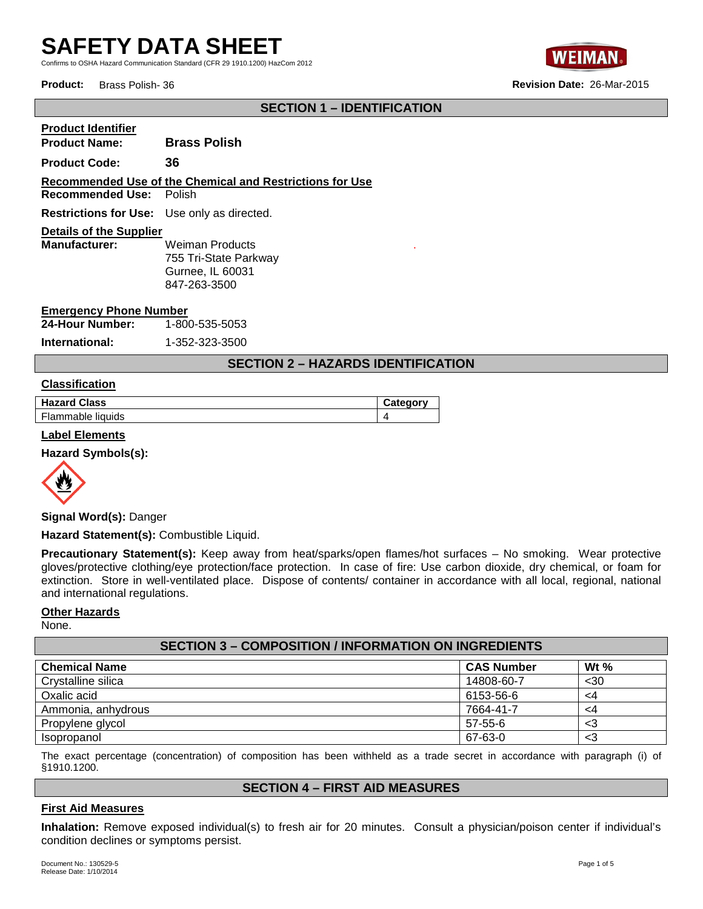Confirms to OSHA Hazard Communication Standard (CFR 29 1910.1200) HazCom 2012





# **SECTION 1 – IDENTIFICATION**

| <b>Product Identifier</b>                                |                       |  |  |
|----------------------------------------------------------|-----------------------|--|--|
| <b>Product Name:</b>                                     | <b>Brass Polish</b>   |  |  |
| <b>Product Code:</b>                                     | 36                    |  |  |
| Recommended Use of the Chemical and Restrictions for Use |                       |  |  |
| <b>Recommended Use:</b> Polish                           |                       |  |  |
| <b>Restrictions for Use:</b> Use only as directed.       |                       |  |  |
| <b>Details of the Supplier</b>                           |                       |  |  |
| <b>Manufacturer:</b>                                     | Weiman Products       |  |  |
|                                                          | 755 Tri-State Parkway |  |  |
|                                                          | Gurnee, IL 60031      |  |  |
|                                                          | 847-263-3500          |  |  |

### **Emergency Phone Number**

**24-Hour Number:** 1-800-535-5053

**International:** 1-352-323-3500

# **SECTION 2 – HAZARDS IDENTIFICATION**

.

**Hazard Class Category**

### **Classification**

| <b>Hazard Class</b> |  |
|---------------------|--|
| Flammable liquids   |  |

### **Label Elements**

**Hazard Symbols(s):** 



**Signal Word(s):** Danger

**Hazard Statement(s):** Combustible Liquid.

**Precautionary Statement(s):** Keep away from heat/sparks/open flames/hot surfaces – No smoking. Wear protective gloves/protective clothing/eye protection/face protection. In case of fire: Use carbon dioxide, dry chemical, or foam for extinction. Store in well-ventilated place. Dispose of contents/ container in accordance with all local, regional, national and international regulations.

### **Other Hazards**

None.

| <b>SECTION 3 - COMPOSITION / INFORMATION ON INGREDIENTS</b> |                   |                    |  |
|-------------------------------------------------------------|-------------------|--------------------|--|
| <b>Chemical Name</b>                                        | <b>CAS Number</b> | W <sub>t</sub> $%$ |  |
| Crystalline silica                                          | 14808-60-7        | $30$               |  |
| Oxalic acid                                                 | 6153-56-6         | <4                 |  |
| Ammonia, anhydrous                                          | 7664-41-7         | <4                 |  |
| Propylene glycol                                            | 57-55-6           | <3                 |  |
| Isopropanol                                                 | 67-63-0           | <3                 |  |

The exact percentage (concentration) of composition has been withheld as a trade secret in accordance with paragraph (i) of §1910.1200.

### **SECTION 4 – FIRST AID MEASURES**

### **First Aid Measures**

**Inhalation:** Remove exposed individual(s) to fresh air for 20 minutes. Consult a physician/poison center if individual's condition declines or symptoms persist.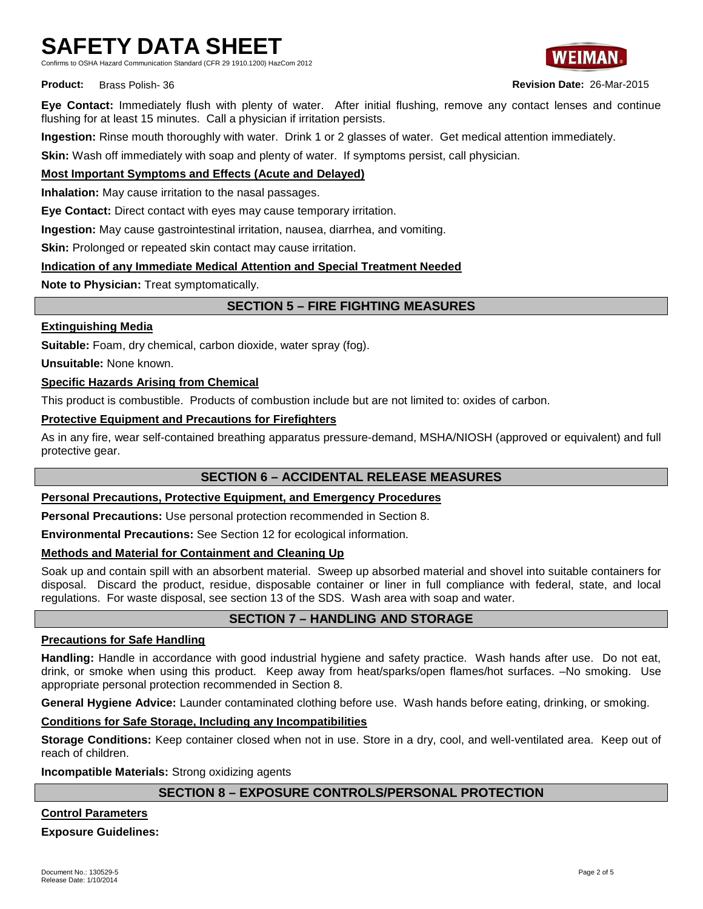Confirms to OSHA Hazard Communication Standard (CFR 29 1910.1200) HazCom 2012



**Eye Contact:** Immediately flush with plenty of water. After initial flushing, remove any contact lenses and continue flushing for at least 15 minutes. Call a physician if irritation persists.

**Ingestion:** Rinse mouth thoroughly with water. Drink 1 or 2 glasses of water. Get medical attention immediately.

**Skin:** Wash off immediately with soap and plenty of water. If symptoms persist, call physician.

# **Most Important Symptoms and Effects (Acute and Delayed)**

**Inhalation:** May cause irritation to the nasal passages.

**Eye Contact:** Direct contact with eyes may cause temporary irritation.

**Ingestion:** May cause gastrointestinal irritation, nausea, diarrhea, and vomiting.

**Skin:** Prolonged or repeated skin contact may cause irritation.

# **Indication of any Immediate Medical Attention and Special Treatment Needed**

**Note to Physician:** Treat symptomatically.

# **SECTION 5 – FIRE FIGHTING MEASURES**

### **Extinguishing Media**

**Suitable:** Foam, dry chemical, carbon dioxide, water spray (fog).

**Unsuitable:** None known.

### **Specific Hazards Arising from Chemical**

This product is combustible. Products of combustion include but are not limited to: oxides of carbon.

# **Protective Equipment and Precautions for Firefighters**

As in any fire, wear self-contained breathing apparatus pressure-demand, MSHA/NIOSH (approved or equivalent) and full protective gear.

# **SECTION 6 – ACCIDENTAL RELEASE MEASURES**

# **Personal Precautions, Protective Equipment, and Emergency Procedures**

**Personal Precautions:** Use personal protection recommended in Section 8.

**Environmental Precautions:** See Section 12 for ecological information.

# **Methods and Material for Containment and Cleaning Up**

Soak up and contain spill with an absorbent material. Sweep up absorbed material and shovel into suitable containers for disposal. Discard the product, residue, disposable container or liner in full compliance with federal, state, and local regulations. For waste disposal, see section 13 of the SDS. Wash area with soap and water.

# **SECTION 7 – HANDLING AND STORAGE**

### **Precautions for Safe Handling**

**Handling:** Handle in accordance with good industrial hygiene and safety practice. Wash hands after use. Do not eat, drink, or smoke when using this product. Keep away from heat/sparks/open flames/hot surfaces. –No smoking. Use appropriate personal protection recommended in Section 8.

**General Hygiene Advice:** Launder contaminated clothing before use. Wash hands before eating, drinking, or smoking.

# **Conditions for Safe Storage, Including any Incompatibilities**

**Storage Conditions:** Keep container closed when not in use. Store in a dry, cool, and well-ventilated area. Keep out of reach of children.

**Incompatible Materials:** Strong oxidizing agents

# **SECTION 8 – EXPOSURE CONTROLS/PERSONAL PROTECTION**

**Control Parameters**

**Exposure Guidelines:**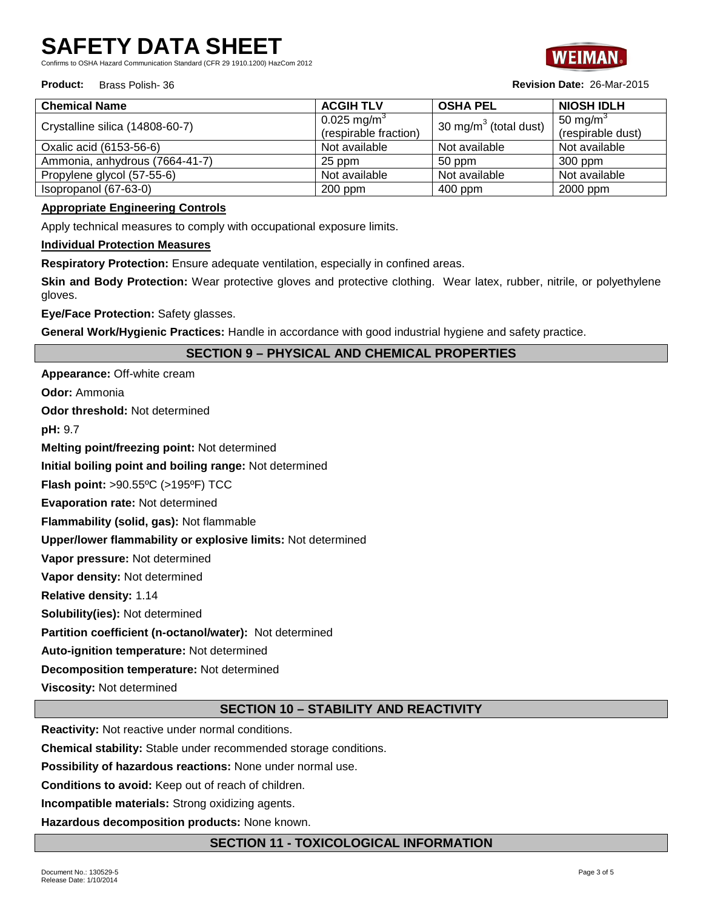Confirms to OSHA Hazard Communication Standard (CFR 29 1910.1200) HazCom 2012

### **Product:** Brass Polish- 36 **Revision Date:** 26-Mar-2015



| <b>Chemical Name</b>            | <b>ACGIH TLV</b>        | <b>OSHA PEL</b>          | <b>NIOSH IDLH</b> |
|---------------------------------|-------------------------|--------------------------|-------------------|
| Crystalline silica (14808-60-7) | 0.025 mg/m <sup>3</sup> | 30 mg/m $3$ (total dust) | 50 mg/m $3$       |
|                                 | (respirable fraction)   |                          | (respirable dust) |
| Oxalic acid (6153-56-6)         | Not available           | Not available            | Not available     |
| Ammonia, anhydrous (7664-41-7)  | 25 ppm                  | 50 ppm                   | $300$ ppm         |
| Propylene glycol (57-55-6)      | Not available           | Not available            | Not available     |
| Isopropanol (67-63-0)           | $200$ ppm               | $400$ ppm                | 2000 ppm          |

# **Appropriate Engineering Controls**

Apply technical measures to comply with occupational exposure limits.

**Individual Protection Measures**

**Respiratory Protection:** Ensure adequate ventilation, especially in confined areas.

**Skin and Body Protection:** Wear protective gloves and protective clothing. Wear latex, rubber, nitrile, or polyethylene gloves.

**Eye/Face Protection:** Safety glasses.

**General Work/Hygienic Practices:** Handle in accordance with good industrial hygiene and safety practice.

# **SECTION 9 – PHYSICAL AND CHEMICAL PROPERTIES**

**Appearance:** Off-white cream

**Odor:** Ammonia

**Odor threshold:** Not determined

**pH:** 9.7

**Melting point/freezing point:** Not determined

**Initial boiling point and boiling range:** Not determined

**Flash point:** >90.55ºC (>195ºF) TCC

**Evaporation rate:** Not determined

**Flammability (solid, gas):** Not flammable

**Upper/lower flammability or explosive limits:** Not determined

**Vapor pressure:** Not determined

**Vapor density:** Not determined

**Relative density:** 1.14

**Solubility(ies):** Not determined

**Partition coefficient (n-octanol/water):** Not determined

**Auto-ignition temperature:** Not determined

**Decomposition temperature:** Not determined

**Viscosity:** Not determined

# **SECTION 10 – STABILITY AND REACTIVITY**

**Reactivity:** Not reactive under normal conditions.

**Chemical stability:** Stable under recommended storage conditions.

**Possibility of hazardous reactions:** None under normal use.

**Conditions to avoid:** Keep out of reach of children.

**Incompatible materials:** Strong oxidizing agents.

**Hazardous decomposition products:** None known.

# **SECTION 11 - TOXICOLOGICAL INFORMATION**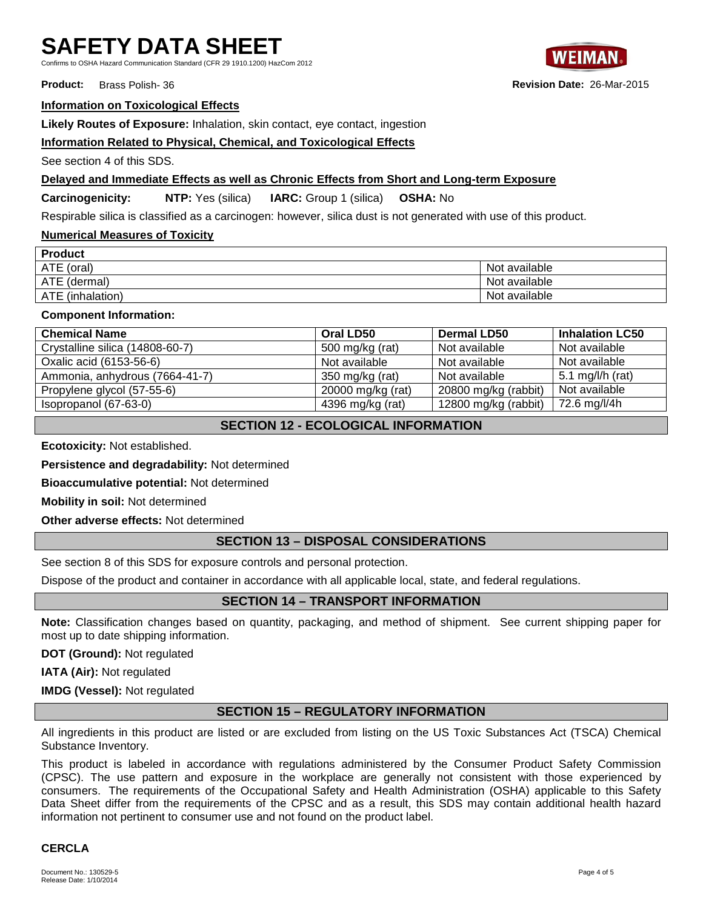Confirms to OSHA Hazard Communication Standard (CFR 29 1910.1200) HazCom 2012

**Product:** Brass Polish- 36 **Revision Date:** 26-Mar-2015

### **Information on Toxicological Effects**

**Likely Routes of Exposure:** Inhalation, skin contact, eye contact, ingestion

# **Information Related to Physical, Chemical, and Toxicological Effects**

See section 4 of this SDS.

### **Delayed and Immediate Effects as well as Chronic Effects from Short and Long-term Exposure**

**Carcinogenicity: NTP:** Yes (silica) **IARC:** Group 1 (silica) **OSHA:** No

Respirable silica is classified as a carcinogen: however, silica dust is not generated with use of this product.

# **Numerical Measures of Toxicity**

| <b>Product</b>   |               |  |
|------------------|---------------|--|
| ATE (oral)       | Not available |  |
| ATE (dermal)     | Not available |  |
| ATE (inhalation) | Not available |  |

### **Component Information:**

| <b>Chemical Name</b>            | Oral LD50         | <b>Dermal LD50</b>   | <b>Inhalation LC50</b> |
|---------------------------------|-------------------|----------------------|------------------------|
| Crystalline silica (14808-60-7) | 500 mg/kg (rat)   | Not available        | Not available          |
| Oxalic acid (6153-56-6)         | Not available     | Not available        | Not available          |
| Ammonia, anhydrous (7664-41-7)  | 350 mg/kg (rat)   | Not available        | 5.1 mg/l/h (rat)       |
| Propylene glycol (57-55-6)      | 20000 mg/kg (rat) | 20800 mg/kg (rabbit) | Not available          |
| Isopropanol (67-63-0)           | 4396 mg/kg (rat)  | 12800 mg/kg (rabbit) | 72.6 mg/l/4h           |

# **SECTION 12 - ECOLOGICAL INFORMATION**

**Ecotoxicity:** Not established.

**Persistence and degradability:** Not determined

**Bioaccumulative potential:** Not determined

**Mobility in soil:** Not determined

**Other adverse effects:** Not determined

# **SECTION 13 – DISPOSAL CONSIDERATIONS**

See section 8 of this SDS for exposure controls and personal protection.

Dispose of the product and container in accordance with all applicable local, state, and federal regulations.

# **SECTION 14 – TRANSPORT INFORMATION**

**Note:** Classification changes based on quantity, packaging, and method of shipment. See current shipping paper for most up to date shipping information.

**DOT (Ground):** Not regulated

**IATA (Air):** Not regulated

**IMDG (Vessel):** Not regulated

# **SECTION 15 – REGULATORY INFORMATION**

All ingredients in this product are listed or are excluded from listing on the US Toxic Substances Act (TSCA) Chemical Substance Inventory.

This product is labeled in accordance with regulations administered by the Consumer Product Safety Commission (CPSC). The use pattern and exposure in the workplace are generally not consistent with those experienced by consumers. The requirements of the Occupational Safety and Health Administration (OSHA) applicable to this Safety Data Sheet differ from the requirements of the CPSC and as a result, this SDS may contain additional health hazard information not pertinent to consumer use and not found on the product label.

# **CERCLA**